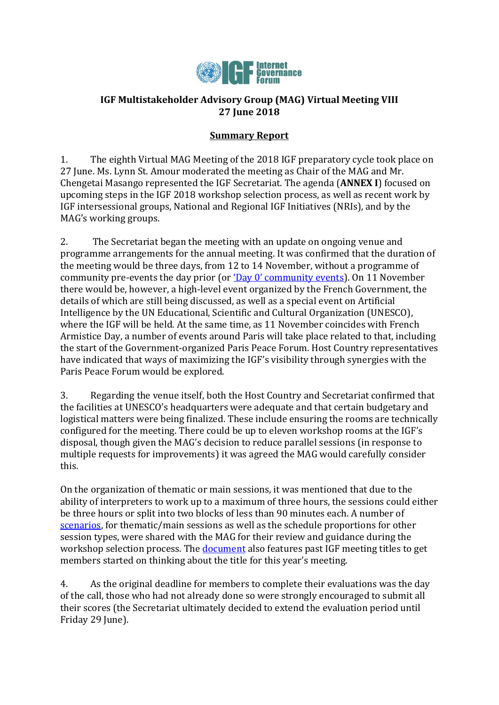

# **IGF Multistakeholder Advisory Group (MAG) Virtual Meeting VIII 27 June 2018**

## **Summary Report**

1. The eighth Virtual MAG Meeting of the 2018 IGF preparatory cycle took place on 27 June. Ms. Lynn St. Amour moderated the meeting as Chair of the MAG and Mr. Chengetai Masango represented the IGF Secretariat. The agenda (**ANNEX I**) focused on upcoming steps in the IGF 2018 workshop selection process, as well as recent work by IGF intersessional groups, National and Regional IGF Initiatives (NRIs), and by the MAG's working groups.

2. The Secretariat began the meeting with an update on ongoing venue and programme arrangements for the annual meeting. It was confirmed that the duration of the meeting would be three days, from 12 to 14 November, without a programme of community pre-events the day prior (or ['Day 0' community events](https://www.intgovforum.org/multilingual/content/notice-to-igf-community-on-day-zero)). On 11 November there would be, however, a high-level event organized by the French Government, the details of which are still being discussed, as well as a special event on Artificial Intelligence by the UN Educational, Scientific and Cultural Organization (UNESCO), where the IGF will be held. At the same time, as 11 November coincides with French Armistice Day, a number of events around Paris will take place related to that, including the start of the Government-organized Paris Peace Forum. Host Country representatives have indicated that ways of maximizing the IGF's visibility through synergies with the Paris Peace Forum would be explored.

3. Regarding the venue itself, both the Host Country and Secretariat confirmed that the facilities at UNESCO's headquarters were adequate and that certain budgetary and logistical matters were being finalized. These include ensuring the rooms are technically configured for the meeting. There could be up to eleven workshop rooms at the IGF's disposal, though given the MAG's decision to reduce parallel sessions (in response to multiple requests for improvements) it was agreed the MAG would carefully consider this.

On the organization of thematic or main sessions, it was mentioned that due to the ability of interpreters to work up to a maximum of three hours, the sessions could either be three hours or split into two blocks of less than 90 minutes each. A number of [scenarios,](http://www.intgovforum.org/multilingual/index.php?q=filedepot_download/6657/1269) for thematic/main sessions as well as the schedule proportions for other session types, were shared with the MAG for their review and guidance during the workshop selection process. Th[e document](http://www.intgovforum.org/multilingual/index.php?q=filedepot_download/6657/1269) also features past IGF meeting titles to get members started on thinking about the title for this year's meeting.

4. As the original deadline for members to complete their evaluations was the day of the call, those who had not already done so were strongly encouraged to submit all their scores (the Secretariat ultimately decided to extend the evaluation period until Friday 29 June).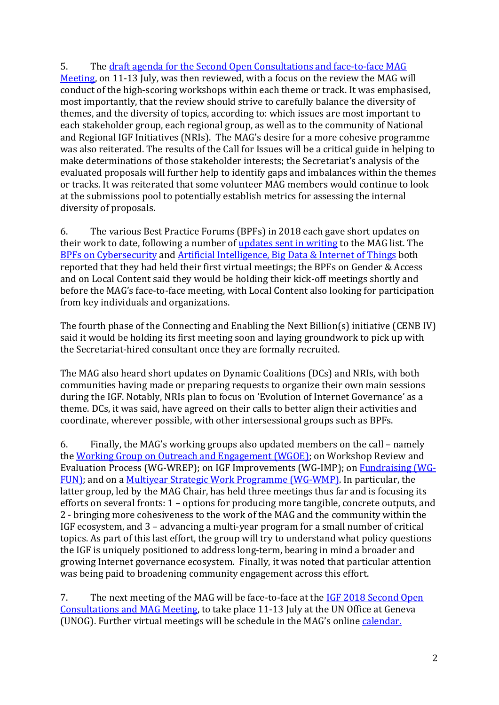5. The [draft agenda for the Second Open Consultations and face-to-face MAG](http://www.intgovforum.org/multilingual/index.php?q=filedepot_download/6657/1268)  [Meeting,](http://www.intgovforum.org/multilingual/index.php?q=filedepot_download/6657/1268) on 11-13 July, was then reviewed, with a focus on the review the MAG will conduct of the high-scoring workshops within each theme or track. It was emphasised, most importantly, that the review should strive to carefully balance the diversity of themes, and the diversity of topics, according to: which issues are most important to each stakeholder group, each regional group, as well as to the community of National and Regional IGF Initiatives (NRIs). The MAG's desire for a more cohesive programme was also reiterated. The results of the Call for Issues will be a critical guide in helping to make determinations of those stakeholder interests; the Secretariat's analysis of the evaluated proposals will further help to identify gaps and imbalances within the themes or tracks. It was reiterated that some volunteer MAG members would continue to look at the submissions pool to potentially establish metrics for assessing the internal diversity of proposals.

6. The various Best Practice Forums (BPFs) in 2018 each gave short updates on their work to date, following a number of [updates sent in writing](https://www.intgovforum.org/multilingual/content/2018-igf-mag-virtual-meeting-viii) to the MAG list. The [BPFs on Cybersecurity](http://www.intgovforum.org/multilingual/index.php?q=filedepot_download/6657/1267) and [Artificial Intelligence, Big Data](http://www.intgovforum.org/multilingual/index.php?q=filedepot_download/6657/1266) & Internet of Things both reported that they had held their first virtual meetings; the BPFs on Gender & Access and on Local Content said they would be holding their kick-off meetings shortly and before the MAG's face-to-face meeting, with Local Content also looking for participation from key individuals and organizations.

The fourth phase of the Connecting and Enabling the Next Billion(s) initiative (CENB IV) said it would be holding its first meeting soon and laying groundwork to pick up with the Secretariat-hired consultant once they are formally recruited.

The MAG also heard short updates on Dynamic Coalitions (DCs) and NRIs, with both communities having made or preparing requests to organize their own main sessions during the IGF. Notably, NRIs plan to focus on 'Evolution of Internet Governance' as a theme. DCs, it was said, have agreed on their calls to better align their activities and coordinate, wherever possible, with other intersessional groups such as BPFs.

6. Finally, the MAG's working groups also updated members on the call – namely the [Working Group on Outreach and Engagement \(WGOE\);](http://www.intgovforum.org/multilingual/index.php?q=filedepot_download/6657/1274) on Workshop Review and Evaluation Process (WG-WREP); on IGF Improvements (WG-IMP); on [Fundraising \(WG-](http://www.intgovforum.org/multilingual/index.php?q=filedepot_download/6657/1271)[FUN\);](http://www.intgovforum.org/multilingual/index.php?q=filedepot_download/6657/1271) and on a [Multiyear Strategic Work Programme \(WG-WMP\).](http://www.intgovforum.org/multilingual/index.php?q=filedepot_download/6657/1273) In particular, the latter group, led by the MAG Chair, has held three meetings thus far and is focusing its efforts on several fronts: 1 – options for producing more tangible, concrete outputs, and 2 - bringing more cohesiveness to the work of the MAG and the community within the IGF ecosystem, and 3 – advancing a multi-year program for a small number of critical topics. As part of this last effort, the group will try to understand what policy questions the IGF is uniquely positioned to address long-term, bearing in mind a broader and growing Internet governance ecosystem. Finally, it was noted that particular attention was being paid to broadening community engagement across this effort.

7. The next meeting of the MAG will be face-to-face at the IGF 2018 Second Open [Consultations and MAG Meeting,](https://www.intgovforum.org/multilingual/content/igf-2018-second-open-consultations-and-mag-meeting) to take place 11-13 July at the UN Office at Geneva (UNOG). Further virtual meetings will be schedule in the MAG's online [calendar.](https://docs.google.com/document/d/1VifeAiFb7fwX6t1rVpBlbKv5tfigj6dm7wkv13nQItg/edit)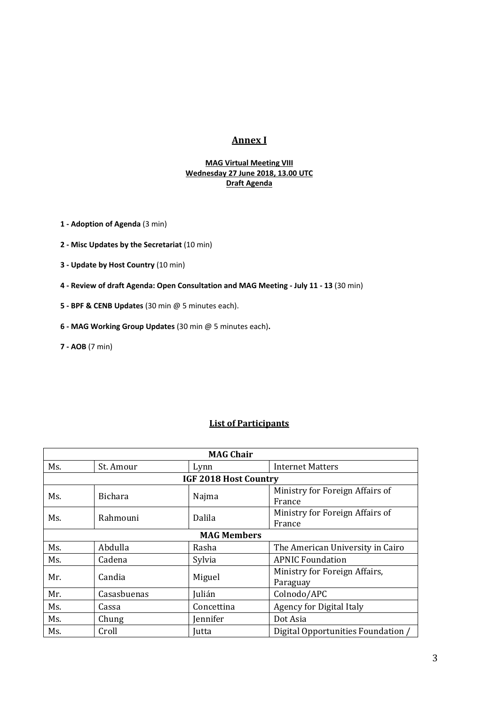### **Annex I**

### **MAG Virtual Meeting VIII Wednesday 27 June 2018, 13.00 UTC Draft Agenda**

- **1 - Adoption of Agenda** (3 min)
- **2 - Misc Updates by the Secretariat** (10 min)
- **3 - Update by Host Country** (10 min)
- **4 - Review of draft Agenda: Open Consultation and MAG Meeting - July 11 - 13** (30 min)
- **5 - BPF & CENB Updates** (30 min @ 5 minutes each).
- **6 - MAG Working Group Updates** (30 min @ 5 minutes each)**.**
- **7 - AOB** (7 min)

### **List of Participants**

| <b>MAG Chair</b>             |                |            |                                    |  |  |  |
|------------------------------|----------------|------------|------------------------------------|--|--|--|
| Ms.                          | St. Amour      | Lynn       | <b>Internet Matters</b>            |  |  |  |
| <b>IGF 2018 Host Country</b> |                |            |                                    |  |  |  |
| Ms.                          | <b>Bichara</b> | Najma      | Ministry for Foreign Affairs of    |  |  |  |
|                              |                |            | France                             |  |  |  |
| Ms.                          | Rahmouni       | Dalila     | Ministry for Foreign Affairs of    |  |  |  |
|                              |                |            | France                             |  |  |  |
| <b>MAG Members</b>           |                |            |                                    |  |  |  |
| Ms.                          | Abdulla        | Rasha      | The American University in Cairo   |  |  |  |
| Ms.                          | Cadena         | Sylvia     | <b>APNIC Foundation</b>            |  |  |  |
| Mr.                          | Candia         | Miguel     | Ministry for Foreign Affairs,      |  |  |  |
|                              |                |            | Paraguay                           |  |  |  |
| Mr.                          | Casasbuenas    | Julián     | Colnodo/APC                        |  |  |  |
| Ms.                          | Cassa          | Concettina | Agency for Digital Italy           |  |  |  |
| Ms.                          | Chung          | Jennifer   | Dot Asia                           |  |  |  |
| Ms.                          | Croll          | Jutta      | Digital Opportunities Foundation / |  |  |  |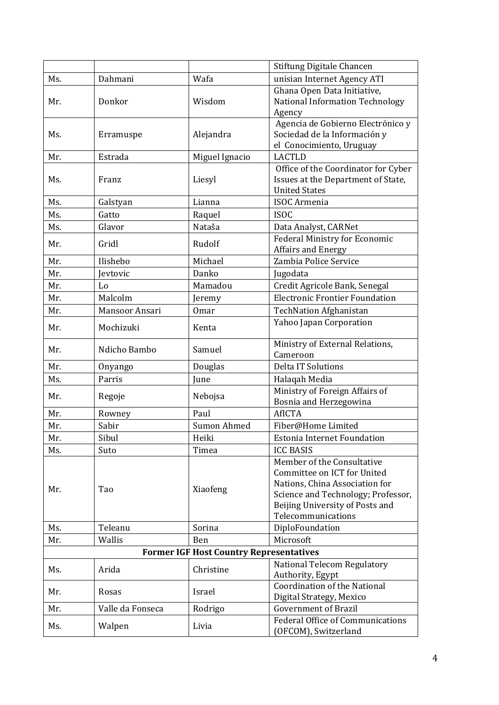|     |                  |                                                | Stiftung Digitale Chancen                                                                                                                                                                  |
|-----|------------------|------------------------------------------------|--------------------------------------------------------------------------------------------------------------------------------------------------------------------------------------------|
| Ms. | Dahmani          | Wafa                                           | unisian Internet Agency ATI                                                                                                                                                                |
| Mr. | Donkor           | Wisdom                                         | Ghana Open Data Initiative,<br>National Information Technology<br>Agency                                                                                                                   |
| Ms. | Erramuspe        | Alejandra                                      | Agencia de Gobierno Electrónico y<br>Sociedad de la Información y<br>el Conocimiento, Uruguay                                                                                              |
| Mr. | Estrada          | Miguel Ignacio                                 | <b>LACTLD</b>                                                                                                                                                                              |
| Ms. | Franz            | Liesyl                                         | Office of the Coordinator for Cyber<br>Issues at the Department of State,<br><b>United States</b>                                                                                          |
| Ms. | Galstyan         | Lianna                                         | <b>ISOC</b> Armenia                                                                                                                                                                        |
| Ms. | Gatto            | Raquel                                         | <b>ISOC</b>                                                                                                                                                                                |
| Ms. | Glavor           | Nataša                                         | Data Analyst, CARNet                                                                                                                                                                       |
| Mr. | Gridl            | Rudolf                                         | <b>Federal Ministry for Economic</b><br>Affairs and Energy                                                                                                                                 |
| Mr. | Ilishebo         | Michael                                        | Zambia Police Service                                                                                                                                                                      |
| Mr. | Jevtovic         | Danko                                          | Jugodata                                                                                                                                                                                   |
| Mr. | Lo               | Mamadou                                        | Credit Agricole Bank, Senegal                                                                                                                                                              |
| Mr. | Malcolm          | Jeremy                                         | <b>Electronic Frontier Foundation</b>                                                                                                                                                      |
| Mr. | Mansoor Ansari   | <b>Omar</b>                                    | <b>TechNation Afghanistan</b>                                                                                                                                                              |
| Mr. | Mochizuki        | Kenta                                          | Yahoo Japan Corporation                                                                                                                                                                    |
| Mr. | Ndicho Bambo     | Samuel                                         | Ministry of External Relations,<br>Cameroon                                                                                                                                                |
| Mr. | Onyango          | Douglas                                        | <b>Delta IT Solutions</b>                                                                                                                                                                  |
| Ms. | Parris           | June                                           | Halaqah Media                                                                                                                                                                              |
| Mr. | Regoje           | Nebojsa                                        | Ministry of Foreign Affairs of<br>Bosnia and Herzegowina                                                                                                                                   |
| Mr. | Rowney           | Paul                                           | <b>AfICTA</b>                                                                                                                                                                              |
| Mr. | Sabir            | <b>Sumon Ahmed</b>                             | Fiber@Home Limited                                                                                                                                                                         |
| Mr. | Sibul            | Heiki                                          | Estonia Internet Foundation                                                                                                                                                                |
| Ms. | Suto             | Timea                                          | <b>ICC BASIS</b>                                                                                                                                                                           |
| Mr. | Tao              | Xiaofeng                                       | Member of the Consultative<br>Committee on ICT for United<br>Nations, China Association for<br>Science and Technology; Professor,<br>Beijing University of Posts and<br>Telecommunications |
| Ms. | Teleanu          | Sorina                                         | DiploFoundation                                                                                                                                                                            |
| Mr. | Wallis           | Ben                                            | Microsoft                                                                                                                                                                                  |
|     |                  | <b>Former IGF Host Country Representatives</b> |                                                                                                                                                                                            |
| Ms. | Arida            | Christine                                      | National Telecom Regulatory<br>Authority, Egypt                                                                                                                                            |
| Mr. | Rosas            | Israel                                         | <b>Coordination of the National</b><br>Digital Strategy, Mexico                                                                                                                            |
| Mr. | Valle da Fonseca | Rodrigo                                        | <b>Government of Brazil</b>                                                                                                                                                                |
| Ms. | Walpen           | Livia                                          | <b>Federal Office of Communications</b><br>(OFCOM), Switzerland                                                                                                                            |